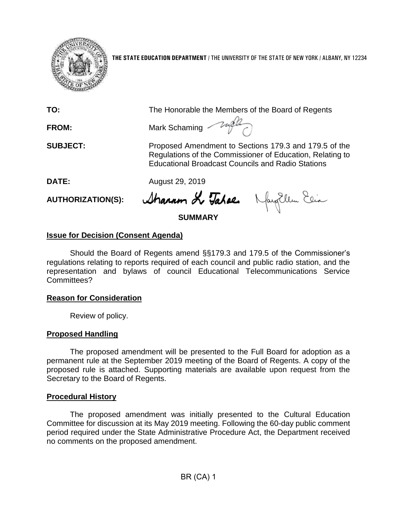

**THE STATE EDUCATION DEPARTMENT** / THE UNIVERSITY OF THE STATE OF NEW YORK / ALBANY, NY 12234

**TO:** The Honorable the Members of the Board of Regents

**FROM:** Mark Schaming

**SUBJECT:** Proposed Amendment to Sections 179.3 and 179.5 of the Regulations of the Commissioner of Education, Relating to Educational Broadcast Councils and Radio Stations

**DATE:** August 29, 2019

**AUTHORIZATION(S):**

Sharam Le Tahae. Naughlem Ein

**SUMMARY**

# **Issue for Decision (Consent Agenda)**

Should the Board of Regents amend §§179.3 and 179.5 of the Commissioner's regulations relating to reports required of each council and public radio station, and the representation and bylaws of council Educational Telecommunications Service Committees?

## **Reason for Consideration**

Review of policy.

## **Proposed Handling**

The proposed amendment will be presented to the Full Board for adoption as a permanent rule at the September 2019 meeting of the Board of Regents. A copy of the proposed rule is attached. Supporting materials are available upon request from the Secretary to the Board of Regents.

## **Procedural History**

The proposed amendment was initially presented to the Cultural Education Committee for discussion at its May 2019 meeting. Following the 60-day public comment period required under the State Administrative Procedure Act, the Department received no comments on the proposed amendment.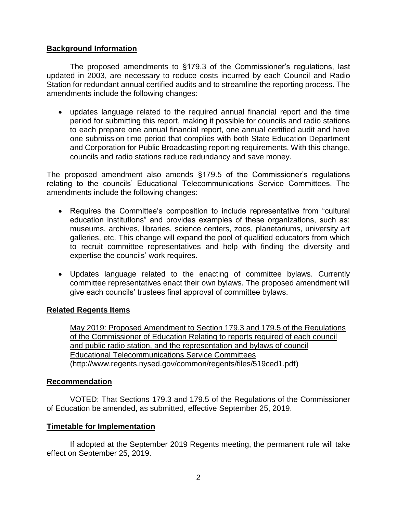#### **Background Information**

The proposed amendments to §179.3 of the Commissioner's regulations, last updated in 2003, are necessary to reduce costs incurred by each Council and Radio Station for redundant annual certified audits and to streamline the reporting process. The amendments include the following changes:

• updates language related to the required annual financial report and the time period for submitting this report, making it possible for councils and radio stations to each prepare one annual financial report, one annual certified audit and have one submission time period that complies with both State Education Department and Corporation for Public Broadcasting reporting requirements. With this change, councils and radio stations reduce redundancy and save money.

The proposed amendment also amends §179.5 of the Commissioner's regulations relating to the councils' Educational Telecommunications Service Committees. The amendments include the following changes:

- Requires the Committee's composition to include representative from "cultural education institutions" and provides examples of these organizations, such as: museums, archives, libraries, science centers, zoos, planetariums, university art galleries, etc. This change will expand the pool of qualified educators from which to recruit committee representatives and help with finding the diversity and expertise the councils' work requires.
- Updates language related to the enacting of committee bylaws. Currently committee representatives enact their own bylaws. The proposed amendment will give each councils' trustees final approval of committee bylaws.

#### **Related Regents Items**

[May 2019: Proposed Amendment to Section 179.3 and 179.5 of the Regulations](http://www.regents.nysed.gov/common/regents/files/519ced1.pdf)  [of the Commissioner of Education Relating to reports required of each council](http://www.regents.nysed.gov/common/regents/files/519ced1.pdf)  [and public radio station, and the representation and bylaws of council](http://www.regents.nysed.gov/common/regents/files/519ced1.pdf)  [Educational Telecommunications Service Committees](http://www.regents.nysed.gov/common/regents/files/519ced1.pdf) (http://www.regents.nysed.gov/common/regents/files/519ced1.pdf)

#### **Recommendation**

VOTED: That Sections 179.3 and 179.5 of the Regulations of the Commissioner of Education be amended, as submitted, effective September 25, 2019.

#### **Timetable for Implementation**

If adopted at the September 2019 Regents meeting, the permanent rule will take effect on September 25, 2019.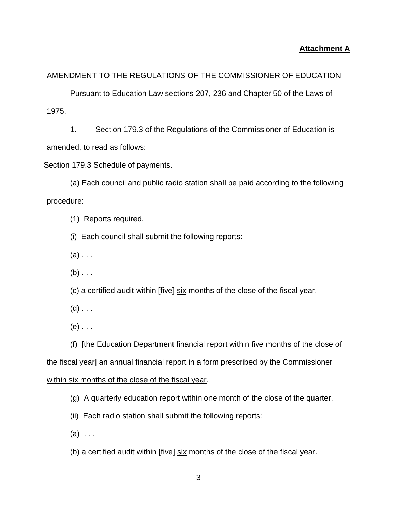#### **Attachment A**

#### AMENDMENT TO THE REGULATIONS OF THE COMMISSIONER OF EDUCATION

Pursuant to Education Law sections 207, 236 and Chapter 50 of the Laws of 1975.

1. Section 179.3 of the Regulations of the Commissioner of Education is amended, to read as follows:

Section 179.3 Schedule of payments.

(a) Each council and public radio station shall be paid according to the following procedure:

(1) Reports required.

(i) Each council shall submit the following reports:

 $(a)$ ...

 $(b)$  . . .

(c) a certified audit within [five] six months of the close of the fiscal year.

 $(d)$  . . .

 $(e)$  . . .

(f) [the Education Department financial report within five months of the close of the fiscal year] an annual financial report in a form prescribed by the Commissioner within six months of the close of the fiscal year.

(g) A quarterly education report within one month of the close of the quarter.

(ii) Each radio station shall submit the following reports:

 $(a) \ldots$ 

(b) a certified audit within [five] six months of the close of the fiscal year.

3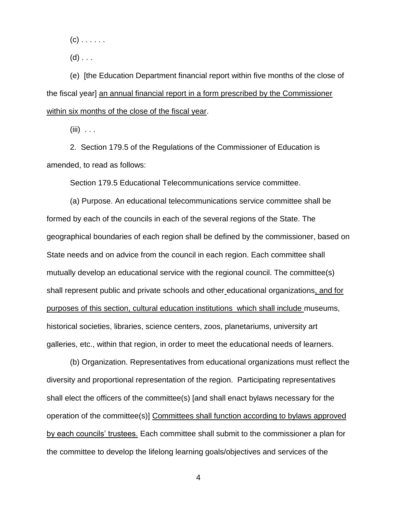$(c)$  . . . . . .

 $(d)$  . . .

(e) [the Education Department financial report within five months of the close of the fiscal year] an annual financial report in a form prescribed by the Commissioner within six months of the close of the fiscal year.

 $(iii)$  . . .

2.Section 179.5 of the Regulations of the Commissioner of Education is amended, to read as follows:

Section 179.5 Educational Telecommunications service committee.

(a) Purpose. An educational telecommunications service committee shall be formed by each of the councils in each of the several regions of the State. The geographical boundaries of each region shall be defined by the commissioner, based on State needs and on advice from the council in each region. Each committee shall mutually develop an educational service with the regional council. The committee(s) shall represent public and private schools and other educational organizations, and for purposes of this section, cultural education institutions which shall include museums, historical societies, libraries, science centers, zoos, planetariums, university art galleries, etc., within that region, in order to meet the educational needs of learners.

(b) Organization. Representatives from educational organizations must reflect the diversity and proportional representation of the region. Participating representatives shall elect the officers of the committee(s) [and shall enact bylaws necessary for the operation of the committee(s)] Committees shall function according to bylaws approved by each councils' trustees. Each committee shall submit to the commissioner a plan for the committee to develop the lifelong learning goals/objectives and services of the

4